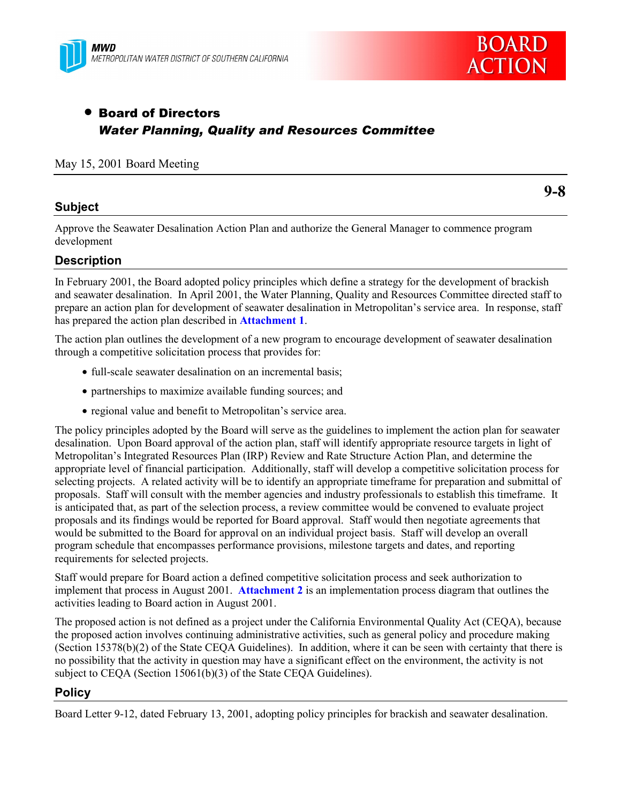



# • Board of Directors *Water Planning, Quality and Resources Committee*

## May 15, 2001 Board Meeting

# **Subject**

**9-8**

Approve the Seawater Desalination Action Plan and authorize the General Manager to commence program development

# **Description**

In February 2001, the Board adopted policy principles which define a strategy for the development of brackish and seawater desalination. In April 2001, the Water Planning, Quality and Resources Committee directed staff to prepare an action plan for development of seawater desalination in Metropolitanís service area. In response, staff has prepared the action plan described in **Attachment 1**.

The action plan outlines the development of a new program to encourage development of seawater desalination through a competitive solicitation process that provides for:

- full-scale seawater desalination on an incremental basis;
- partnerships to maximize available funding sources; and
- regional value and benefit to Metropolitan's service area.

The policy principles adopted by the Board will serve as the guidelines to implement the action plan for seawater desalination. Upon Board approval of the action plan, staff will identify appropriate resource targets in light of Metropolitanís Integrated Resources Plan (IRP) Review and Rate Structure Action Plan, and determine the appropriate level of financial participation. Additionally, staff will develop a competitive solicitation process for selecting projects. A related activity will be to identify an appropriate timeframe for preparation and submittal of proposals. Staff will consult with the member agencies and industry professionals to establish this timeframe. It is anticipated that, as part of the selection process, a review committee would be convened to evaluate project proposals and its findings would be reported for Board approval. Staff would then negotiate agreements that would be submitted to the Board for approval on an individual project basis. Staff will develop an overall program schedule that encompasses performance provisions, milestone targets and dates, and reporting requirements for selected projects.

Staff would prepare for Board action a defined competitive solicitation process and seek authorization to implement that process in August 2001. **Attachment 2** is an implementation process diagram that outlines the activities leading to Board action in August 2001.

The proposed action is not defined as a project under the California Environmental Quality Act (CEQA), because the proposed action involves continuing administrative activities, such as general policy and procedure making (Section 15378(b)(2) of the State CEQA Guidelines). In addition, where it can be seen with certainty that there is no possibility that the activity in question may have a significant effect on the environment, the activity is not subject to CEQA (Section 15061(b)(3) of the State CEQA Guidelines).

# **Policy**

Board Letter 9-12, dated February 13, 2001, adopting policy principles for brackish and seawater desalination.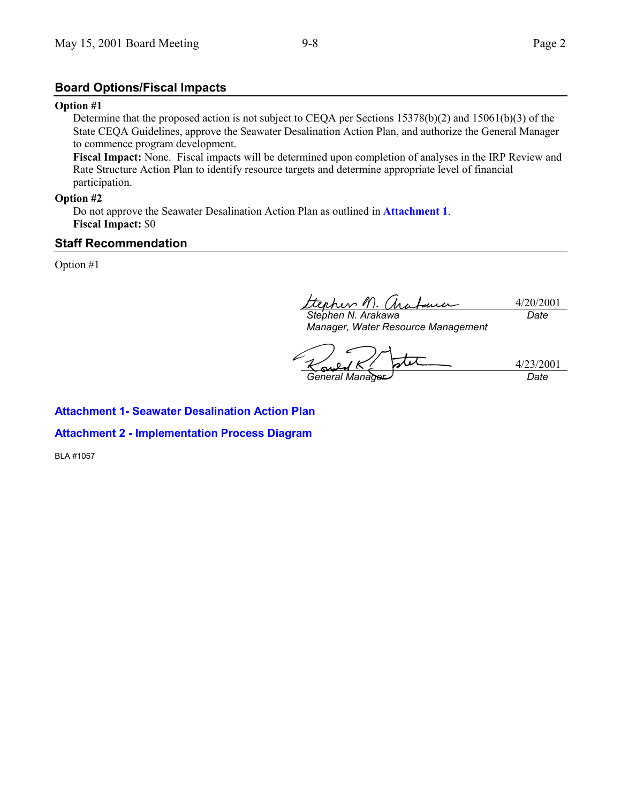# **Board Options/Fiscal Impacts**

#### **Option #1**

Determine that the proposed action is not subject to CEQA per Sections 15378(b)(2) and 15061(b)(3) of the State CEQA Guidelines, approve the Seawater Desalination Action Plan, and authorize the General Manager to commence program development.

**Fiscal Impact:** None. Fiscal impacts will be determined upon completion of analyses in the IRP Review and Rate Structure Action Plan to identify resource targets and determine appropriate level of financial participation.

#### **Option #2**

Do not approve the Seawater Desalination Action Plan as outlined in **Attachment 1**. **Fiscal Impact:** \$0

# **Staff Recommendation**

Option #1

terhev M 4/20/2001 *Stephen N. Arakawa Date*

*Manager, Water Resource Management*

T . J 4/23/2001 *General Manager Date*

# **Attachment 1- Seawater Desalination Action Plan**

## **Attachment 2 - Implementation Process Diagram**

BLA #1057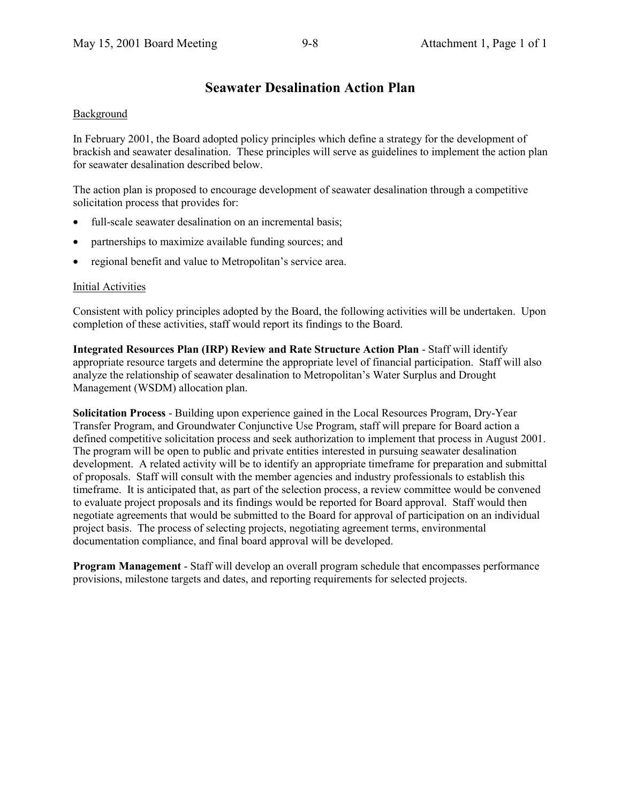# **Seawater Desalination Action Plan**

# Background

In February 2001, the Board adopted policy principles which define a strategy for the development of brackish and seawater desalination. These principles will serve as guidelines to implement the action plan for seawater desalination described below.

The action plan is proposed to encourage development of seawater desalination through a competitive solicitation process that provides for:

- full-scale seawater desalination on an incremental basis:
- partnerships to maximize available funding sources; and
- regional benefit and value to Metropolitan's service area.

## Initial Activities

Consistent with policy principles adopted by the Board, the following activities will be undertaken. Upon completion of these activities, staff would report its findings to the Board.

**Integrated Resources Plan (IRP) Review and Rate Structure Action Plan** - Staff will identify appropriate resource targets and determine the appropriate level of financial participation. Staff will also analyze the relationship of seawater desalination to Metropolitan's Water Surplus and Drought Management (WSDM) allocation plan.

**Solicitation Process** - Building upon experience gained in the Local Resources Program, Dry-Year Transfer Program, and Groundwater Conjunctive Use Program, staff will prepare for Board action a defined competitive solicitation process and seek authorization to implement that process in August 2001. The program will be open to public and private entities interested in pursuing seawater desalination development. A related activity will be to identify an appropriate timeframe for preparation and submittal of proposals. Staff will consult with the member agencies and industry professionals to establish this timeframe. It is anticipated that, as part of the selection process, a review committee would be convened to evaluate project proposals and its findings would be reported for Board approval. Staff would then negotiate agreements that would be submitted to the Board for approval of participation on an individual project basis. The process of selecting projects, negotiating agreement terms, environmental documentation compliance, and final board approval will be developed.

**Program Management** - Staff will develop an overall program schedule that encompasses performance provisions, milestone targets and dates, and reporting requirements for selected projects.